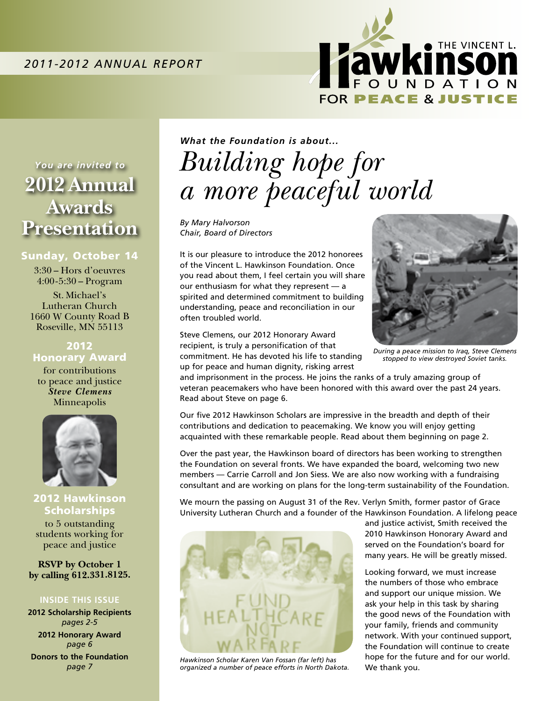

*You are invited to* **2012 Annual Awards Presentation**

#### Sunday, October 14

3:30 – Hors d'oeuvres 4:00-5:30 – Program

St. Michael's Lutheran Church 1660 W County Road B Roseville, MN 55113

2012 Honorary Award

for contributions to peace and justice *Steve Clemens* Minneapolis



2012 Hawkinson **Scholarships** to 5 outstanding students working for peace and justice

**RSVP by October 1 by calling 612.331.8125.**

#### **Inside This Issue**

**2012 Scholarship Recipients**  *pages 2-5* **2012 Honorary Award** *page 6* **Donors to the Foundation** *page 7*

## *What the Foundation is about... Building hope for a more peaceful world*

*By Mary Halvorson Chair, Board of Directors*

It is our pleasure to introduce the 2012 honorees of the Vincent L. Hawkinson Foundation. Once you read about them, I feel certain you will share our enthusiasm for what they represent — a spirited and determined commitment to building understanding, peace and reconciliation in our often troubled world.

Steve Clemens, our 2012 Honorary Award recipient, is truly a personification of that commitment. He has devoted his life to standing up for peace and human dignity, risking arrest



*During a peace mission to Iraq, Steve Clemens stopped to view destroyed Soviet tanks.*

and imprisonment in the process. He joins the ranks of a truly amazing group of veteran peacemakers who have been honored with this award over the past 24 years. Read about Steve on page 6.

Our five 2012 Hawkinson Scholars are impressive in the breadth and depth of their contributions and dedication to peacemaking. We know you will enjoy getting acquainted with these remarkable people. Read about them beginning on page 2.

Over the past year, the Hawkinson board of directors has been working to strengthen the Foundation on several fronts. We have expanded the board, welcoming two new members — Carrie Carroll and Jon Siess. We are also now working with a fundraising consultant and are working on plans for the long-term sustainability of the Foundation.

We mourn the passing on August 31 of the Rev. Verlyn Smith, former pastor of Grace University Lutheran Church and a founder of the Hawkinson Foundation. A lifelong peace



*Hawkinson Scholar Karen Van Fossan (far left) has organized a number of peace efforts in North Dakota.*

and justice activist, Smith received the 2010 Hawkinson Honorary Award and served on the Foundation's board for many years. He will be greatly missed.

Looking forward, we must increase the numbers of those who embrace and support our unique mission. We ask your help in this task by sharing the good news of the Foundation with your family, friends and community network. With your continued support, the Foundation will continue to create hope for the future and for our world. We thank you.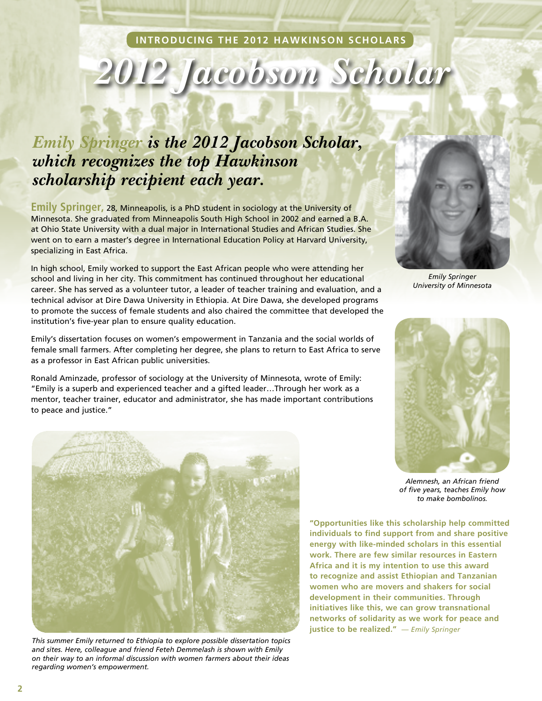#### **INTRODUCING THE 2012 HAWKINSON SCHOLARS**

# *2012 Jacobson Scholar*

### *Emily Springer is the 2012 Jacobson Scholar, which recognizes the top Hawkinson scholarship recipient each year.*

**Emily Springer,** 28, Minneapolis, is a PhD student in sociology at the University of Minnesota. She graduated from Minneapolis South High School in 2002 and earned a B.A. at Ohio State University with a dual major in International Studies and African Studies. She went on to earn a master's degree in International Education Policy at Harvard University, specializing in East Africa.

In high school, Emily worked to support the East African people who were attending her school and living in her city. This commitment has continued throughout her educational career. She has served as a volunteer tutor, a leader of teacher training and evaluation, and a technical advisor at Dire Dawa University in Ethiopia. At Dire Dawa, she developed programs to promote the success of female students and also chaired the committee that developed the institution's five-year plan to ensure quality education.

Emily's dissertation focuses on women's empowerment in Tanzania and the social worlds of female small farmers. After completing her degree, she plans to return to East Africa to serve as a professor in East African public universities.

Ronald Aminzade, professor of sociology at the University of Minnesota, wrote of Emily: "Emily is a superb and experienced teacher and a gifted leader…Through her work as a mentor, teacher trainer, educator and administrator, she has made important contributions to peace and justice."



*This summer Emily returned to Ethiopia to explore possible dissertation topics and sites. Here, colleague and friend Feteh Demmelash is shown with Emily on their way to an informal discussion with women farmers about their ideas regarding women's empowerment.*



*Emily Springer University of Minnesota*



*Alemnesh, an African friend of five years, teaches Emily how to make bombolinos.*

**"Opportunities like this scholarship help committed individuals to find support from and share positive energy with like-minded scholars in this essential work. There are few similar resources in Eastern Africa and it is my intention to use this award to recognize and assist Ethiopian and Tanzanian women who are movers and shakers for social development in their communities. Through initiatives like this, we can grow transnational networks of solidarity as we work for peace and justice to be realized."** *— Emily Springer*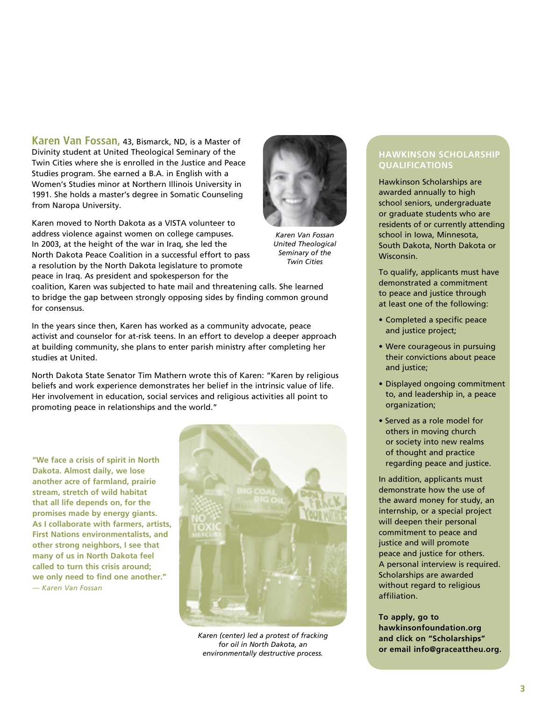**Karen Van Fossan,** 43, Bismarck, ND, is a Master of Divinity student at United Theological Seminary of the Twin Cities where she is enrolled in the Justice and Peace Studies program. She earned a B.A. in English with a Women's Studies minor at Northern Illinois University in 1991. She holds a master's degree in Somatic Counseling from Naropa University.

Karen moved to North Dakota as a VISTA volunteer to address violence against women on college campuses. In 2003, at the height of the war in Iraq, she led the North Dakota Peace Coalition in a successful effort to pass a resolution by the North Dakota legislature to promote peace in Iraq. As president and spokesperson for the

*Karen Van Fossan*

*United Theological Seminary of the Twin Cities*

coalition, Karen was subjected to hate mail and threatening calls. She learned to bridge the gap between strongly opposing sides by finding common ground for consensus.

In the years since then, Karen has worked as a community advocate, peace activist and counselor for at-risk teens. In an effort to develop a deeper approach at building community, she plans to enter parish ministry after completing her studies at United.

North Dakota State Senator Tim Mathern wrote this of Karen: "Karen by religious beliefs and work experience demonstrates her belief in the intrinsic value of life. Her involvement in education, social services and religious activities all point to promoting peace in relationships and the world."

**"We face a crisis of spirit in North Dakota. Almost daily, we lose another acre of farmland, prairie stream, stretch of wild habitat that all life depends on, for the promises made by energy giants. As I collaborate with farmers, artists, First Nations environmentalists, and other strong neighbors, I see that many of us in North Dakota feel called to turn this crisis around; we only need to find one another."** *— Karen Van Fossan*



*Karen (center) led a protest of fracking for oil in North Dakota, an environmentally destructive process.*

#### **Hawkinson Scholarship Qualifications**

Hawkinson Scholarships are awarded annually to high school seniors, undergraduate or graduate students who are residents of or currently attending school in Iowa, Minnesota, South Dakota, North Dakota or Wisconsin.

To qualify, applicants must have demonstrated a commitment to peace and justice through at least one of the following:

- Completed a specific peace and justice project;
- Were courageous in pursuing their convictions about peace and justice;
- Displayed ongoing commitment to, and leadership in, a peace organization;
- Served as a role model for others in moving church or society into new realms of thought and practice regarding peace and justice.

In addition, applicants must demonstrate how the use of the award money for study, an internship, or a special project will deepen their personal commitment to peace and justice and will promote peace and justice for others. A personal interview is required. Scholarships are awarded without regard to religious affiliation.

**To apply, go to hawkinsonfoundation.org and click on "Scholarships" or email info@graceattheu.org.**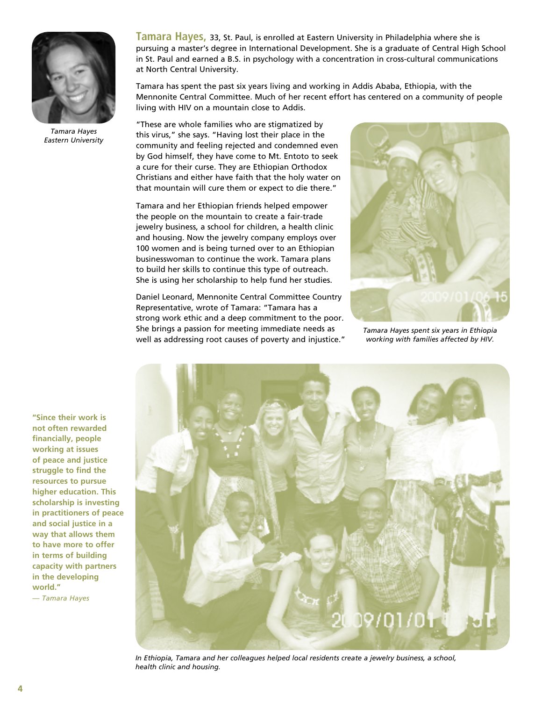

*Tamara Hayes Eastern University*

**Tamara Hayes,** 33, St. Paul, is enrolled at Eastern University in Philadelphia where she is pursuing a master's degree in International Development. She is a graduate of Central High School in St. Paul and earned a B.S. in psychology with a concentration in cross-cultural communications at North Central University.

Tamara has spent the past six years living and working in Addis Ababa, Ethiopia, with the Mennonite Central Committee. Much of her recent effort has centered on a community of people living with HIV on a mountain close to Addis.

"These are whole families who are stigmatized by this virus," she says. "Having lost their place in the community and feeling rejected and condemned even by God himself, they have come to Mt. Entoto to seek a cure for their curse. They are Ethiopian Orthodox Christians and either have faith that the holy water on that mountain will cure them or expect to die there."

Tamara and her Ethiopian friends helped empower the people on the mountain to create a fair-trade jewelry business, a school for children, a health clinic and housing. Now the jewelry company employs over 100 women and is being turned over to an Ethiopian businesswoman to continue the work. Tamara plans to build her skills to continue this type of outreach. She is using her scholarship to help fund her studies.

Daniel Leonard, Mennonite Central Committee Country Representative, wrote of Tamara: "Tamara has a strong work ethic and a deep commitment to the poor. She brings a passion for meeting immediate needs as well as addressing root causes of poverty and injustice."



*Tamara Hayes spent six years in Ethiopia working with families affected by HIV.*

**"Since their work is not often rewarded financially, people working at issues of peace and justice struggle to find the resources to pursue higher education. This scholarship is investing in practitioners of peace and social justice in a way that allows them to have more to offer in terms of building capacity with partners in the developing world."** *— Tamara Hayes*



*In Ethiopia, Tamara and her colleagues helped local residents create a jewelry business, a school, health clinic and housing.*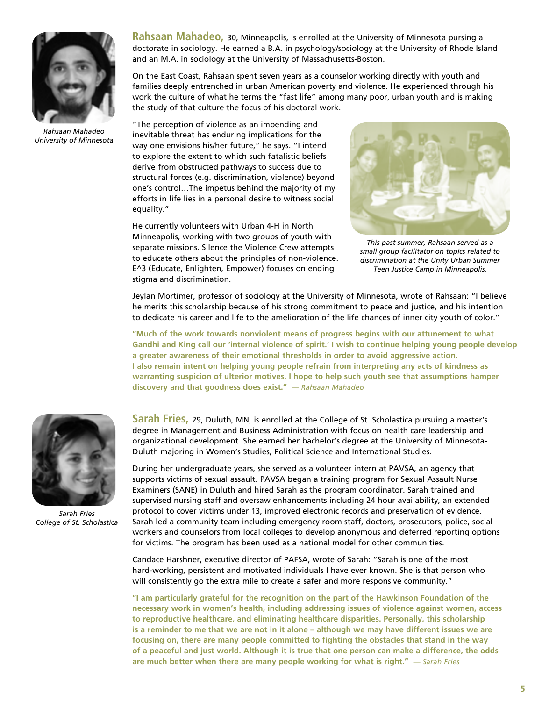

*Rahsaan Mahadeo University of Minnesota*

**Rahsaan Mahadeo,** 30, Minneapolis, is enrolled at the University of Minnesota pursing a doctorate in sociology. He earned a B.A. in psychology/sociology at the University of Rhode Island and an M.A. in sociology at the University of Massachusetts-Boston.

On the East Coast, Rahsaan spent seven years as a counselor working directly with youth and families deeply entrenched in urban American poverty and violence. He experienced through his work the culture of what he terms the "fast life" among many poor, urban youth and is making the study of that culture the focus of his doctoral work.

"The perception of violence as an impending and inevitable threat has enduring implications for the way one envisions his/her future," he says. "I intend to explore the extent to which such fatalistic beliefs derive from obstructed pathways to success due to structural forces (e.g. discrimination, violence) beyond one's control…The impetus behind the majority of my efforts in life lies in a personal desire to witness social equality."

He currently volunteers with Urban 4-H in North Minneapolis, working with two groups of youth with separate missions. Silence the Violence Crew attempts to educate others about the principles of non-violence. E^3 (Educate, Enlighten, Empower) focuses on ending stigma and discrimination.



*This past summer, Rahsaan served as a small group facilitator on topics related to discrimination at the Unity Urban Summer Teen Justice Camp in Minneapolis.*

Jeylan Mortimer, professor of sociology at the University of Minnesota, wrote of Rahsaan: "I believe he merits this scholarship because of his strong commitment to peace and justice, and his intention to dedicate his career and life to the amelioration of the life chances of inner city youth of color."

**"Much of the work towards nonviolent means of progress begins with our attunement to what Gandhi and King call our 'internal violence of spirit.' I wish to continue helping young people develop a greater awareness of their emotional thresholds in order to avoid aggressive action. I also remain intent on helping young people refrain from interpreting any acts of kindness as warranting suspicion of ulterior motives. I hope to help such youth see that assumptions hamper discovery and that goodness does exist."** *— Rahsaan Mahadeo*



*Sarah Fries College of St. Scholastica*

**Sarah Fries,** 29, Duluth, MN, is enrolled at the College of St. Scholastica pursuing a master's degree in Management and Business Administration with focus on health care leadership and organizational development. She earned her bachelor's degree at the University of Minnesota-Duluth majoring in Women's Studies, Political Science and International Studies.

During her undergraduate years, she served as a volunteer intern at PAVSA, an agency that supports victims of sexual assault. PAVSA began a training program for Sexual Assault Nurse Examiners (SANE) in Duluth and hired Sarah as the program coordinator. Sarah trained and supervised nursing staff and oversaw enhancements including 24 hour availability, an extended protocol to cover victims under 13, improved electronic records and preservation of evidence. Sarah led a community team including emergency room staff, doctors, prosecutors, police, social workers and counselors from local colleges to develop anonymous and deferred reporting options for victims. The program has been used as a national model for other communities.

Candace Harshner, executive director of PAFSA, wrote of Sarah: "Sarah is one of the most hard-working, persistent and motivated individuals I have ever known. She is that person who will consistently go the extra mile to create a safer and more responsive community."

**"I am particularly grateful for the recognition on the part of the Hawkinson Foundation of the necessary work in women's health, including addressing issues of violence against women, access to reproductive healthcare, and eliminating healthcare disparities. Personally, this scholarship is a reminder to me that we are not in it alone – although we may have different issues we are focusing on, there are many people committed to fighting the obstacles that stand in the way of a peaceful and just world. Although it is true that one person can make a difference, the odds are much better when there are many people working for what is right."** *— Sarah Fries*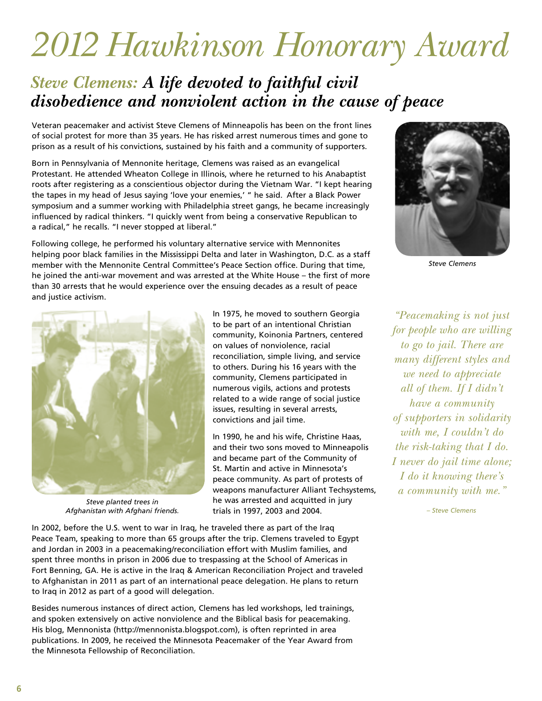# *2012 Hawkinson Honorary Award*

## *Steve Clemens: A life devoted to faithful civil disobedience and nonviolent action in the cause of peace*

Veteran peacemaker and activist Steve Clemens of Minneapolis has been on the front lines of social protest for more than 35 years. He has risked arrest numerous times and gone to prison as a result of his convictions, sustained by his faith and a community of supporters.

Born in Pennsylvania of Mennonite heritage, Clemens was raised as an evangelical Protestant. He attended Wheaton College in Illinois, where he returned to his Anabaptist roots after registering as a conscientious objector during the Vietnam War. "I kept hearing the tapes in my head of Jesus saying 'love your enemies,' " he said. After a Black Power symposium and a summer working with Philadelphia street gangs, he became increasingly influenced by radical thinkers. "I quickly went from being a conservative Republican to a radical," he recalls. "I never stopped at liberal."

Following college, he performed his voluntary alternative service with Mennonites helping poor black families in the Mississippi Delta and later in Washington, D.C. as a staff member with the Mennonite Central Committee's Peace Section office. During that time, he joined the anti-war movement and was arrested at the White House – the first of more than 30 arrests that he would experience over the ensuing decades as a result of peace and justice activism.



*Steve planted trees in Afghanistan with Afghani friends.*

In 1975, he moved to southern Georgia to be part of an intentional Christian community, Koinonia Partners, centered on values of nonviolence, racial reconciliation, simple living, and service to others. During his 16 years with the community, Clemens participated in numerous vigils, actions and protests related to a wide range of social justice issues, resulting in several arrests, convictions and jail time.

In 1990, he and his wife, Christine Haas, and their two sons moved to Minneapolis and became part of the Community of St. Martin and active in Minnesota's peace community. As part of protests of weapons manufacturer Alliant Techsystems, he was arrested and acquitted in jury trials in 1997, 2003 and 2004.

In 2002, before the U.S. went to war in Iraq, he traveled there as part of the Iraq Peace Team, speaking to more than 65 groups after the trip. Clemens traveled to Egypt and Jordan in 2003 in a peacemaking/reconciliation effort with Muslim families, and spent three months in prison in 2006 due to trespassing at the School of Americas in Fort Benning, GA. He is active in the Iraq & American Reconciliation Project and traveled to Afghanistan in 2011 as part of an international peace delegation. He plans to return to Iraq in 2012 as part of a good will delegation.

Besides numerous instances of direct action, Clemens has led workshops, led trainings, and spoken extensively on active nonviolence and the Biblical basis for peacemaking. His blog, Mennonista (http://mennonista.blogspot.com), is often reprinted in area publications. In 2009, he received the Minnesota Peacemaker of the Year Award from the Minnesota Fellowship of Reconciliation.



*Steve Clemens*

*"Peacemaking is not just for people who are willing to go to jail. There are many different styles and we need to appreciate all of them. If I didn't have a community of supporters in solidarity with me, I couldn't do the risk-taking that I do. I never do jail time alone; I do it knowing there's a community with me."*

*– Steve Clemens*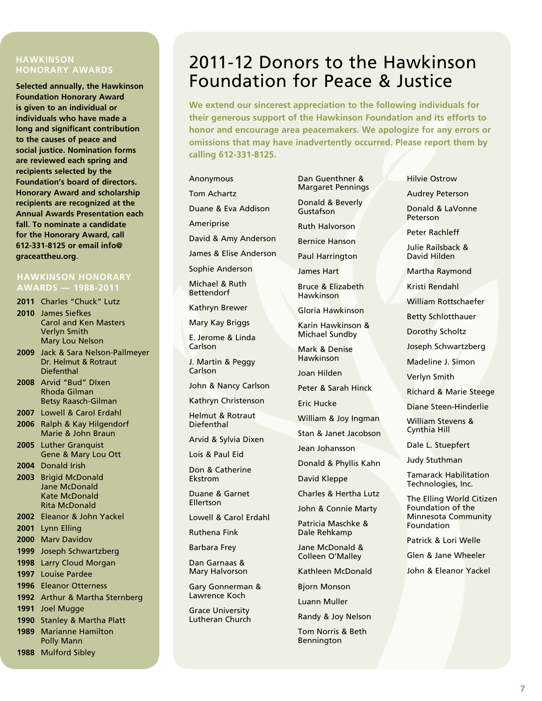#### **HAWKINSON HONORARY AWARDS**

**Selected annually, the Hawkinson Foundation Honorary Award is given to an individual or individuals who have made a long and significant contribution to the causes of peace and social justice. Nomination forms are reviewed each spring and recipients selected by the Foundation's board of directors. Honorary Award and scholarship recipients are recognized at the Annual Awards Presentation each fall. To nominate a candidate for the Honorary Award, call 612-331-8125 or email info@ graceattheu.org**.

#### **HAWKINSON HONORARY AWARDS — 1988-2011**

- **2011** Charles "Chuck" Lutz
- **2010** James Siefkes Carol and Ken Masters Verlyn Smith Mary Lou Nelson
- **2009** Jack & Sara Nelson-Pallmeyer Dr. Helmut & Rotraut **Diefenthal**
- **2008** Arvid "Bud" DIxen Rhoda Gilman Betsy Raasch-Gilman
- **2007** Lowell & Carol Erdahl
- **2006** Ralph & Kay Hilgendorf Marie & John Braun
- **2005** Luther Granquist Gene & Mary Lou Ott
- **2004** Donald Irish
- **2003** Brigid McDonald Jane McDonald Kate McDonald Rita McDonald
- **2002** Eleanor & John Yackel
- **2001** Lynn Elling
- **2000** Marv Davidov
- **1999** Joseph Schwartzberg
- **1998** Larry Cloud Morgan
- **1997** Louise Pardee
- **1996** Eleanor Otterness
- **1992** Arthur & Martha Sternberg
- **1991** Joel Mugge
- **1990** Stanley & Martha Platt **1989** Marianne Hamilton
- Polly Mann

#### **1988** Mulford Sibley

## 2011-12 Donors to the Hawkinson Foundation for Peace & Justice

**We extend our sincerest appreciation to the following individuals for their generous support of the Hawkinson Foundation and its efforts to honor and encourage area peacemakers. We apologize for any errors or omissions that may have inadvertently occurred. Please report them by calling 612-331-8125.**

#### Anonymous Tom Achartz

Duane & Eva Addison

Ameriprise

David & Amy Anderson

James & Elise Anderson

Sophie Anderson

Michael & Ruth **Bettendorf** 

Kathryn Brewer

Mary Kay Briggs

E. Jerome & Linda Carlson

J. Martin & Peggy **Carlson** 

John & Nancy Carlson

Kathryn Christenson

Helmut & Rotraut Diefenthal

Arvid & Sylvia Dixen

Lois & Paul Eid

Don & Catherine Ekstrom

Duane & Garnet Ellertson

Lowell & Carol Erdahl

Ruthena Fink

Barbara Frey

Dan Garnaas & Mary Halvorson

Gary Gonnerman & Lawrence Koch

Grace University Lutheran Church Dan Guenthner & Margaret Pennings

Donald & Beverly Gustafson

Ruth Halvorson

Bernice Hanson

Paul Harrington

James Hart

Bruce & Elizabeth Hawkinson

Gloria Hawkinson

Karin Hawkinson & Michael Sundby

Mark & Denise Hawkinson

Joan Hilden

Peter & Sarah Hinck

Eric Hucke

William & Joy Ingman

Stan & Janet Jacobson

Jean Johansson

Donald & Phyllis Kahn

David Kleppe

Charles & Hertha Lutz

John & Connie Marty

Patricia Maschke & Dale Rehkamp

Jane McDonald & Colleen O'Malley

Kathleen McDonald

Bjorn Monson

Luann Muller

Randy & Joy Nelson

Tom Norris & Beth Bennington

Hilvie Ostrow

Audrey Peterson

Donald & LaVonne Peterson

Peter Rachleff

Julie Railsback & David Hilden

Martha Raymond

Kristi Rendahl

William Rottschaefer

Betty Schlotthauer

Dorothy Scholtz

Joseph Schwartzberg

Madeline J. Simon

Verlyn Smith

Richard & Marie Steege

Diane Steen-Hinderlie

William Stevens & Cynthia Hill

Dale L. Stuepfert

Judy Stuthman

Tamarack Habilitation Technologies, Inc.

The Elling World Citizen Foundation of the Minnesota Community Foundation

Patrick & Lori Welle

Glen & Jane Wheeler

John & Eleanor Yackel

**7**